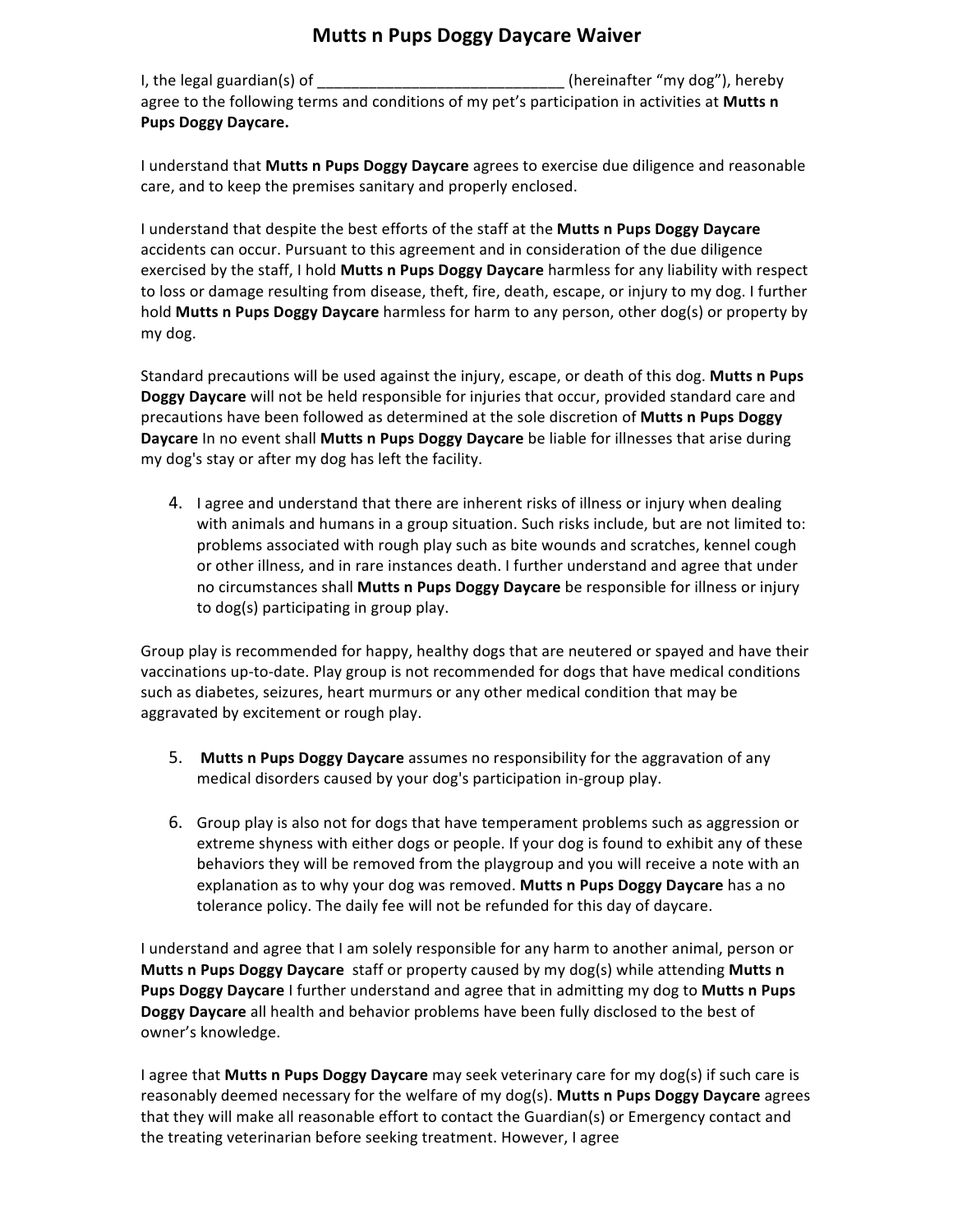## **Mutts n Pups Doggy Daycare Waiver**

I, the legal guardian(s) of the same of the same of the set of the set of the set of the set of the set of the s agree to the following terms and conditions of my pet's participation in activities at Mutts n Pups Doggy Daycare.

I understand that **Mutts n Pups Doggy Daycare** agrees to exercise due diligence and reasonable care, and to keep the premises sanitary and properly enclosed.

I understand that despite the best efforts of the staff at the Mutts n Pups Doggy Daycare accidents can occur. Pursuant to this agreement and in consideration of the due diligence exercised by the staff, I hold **Mutts n Pups Doggy Daycare** harmless for any liability with respect to loss or damage resulting from disease, theft, fire, death, escape, or injury to my dog. I further hold **Mutts n Pups Doggy Daycare** harmless for harm to any person, other dog(s) or property by my dog.

Standard precautions will be used against the injury, escape, or death of this dog. Mutts n Pups **Doggy Daycare** will not be held responsible for injuries that occur, provided standard care and precautions have been followed as determined at the sole discretion of **Mutts n Pups Doggy Daycare** In no event shall **Mutts n Pups Doggy Daycare** be liable for illnesses that arise during my dog's stay or after my dog has left the facility.

4. I agree and understand that there are inherent risks of illness or injury when dealing with animals and humans in a group situation. Such risks include, but are not limited to: problems associated with rough play such as bite wounds and scratches, kennel cough or other illness, and in rare instances death. I further understand and agree that under no circumstances shall **Mutts n Pups Doggy Daycare** be responsible for illness or injury to dog(s) participating in group play.

Group play is recommended for happy, healthy dogs that are neutered or spayed and have their vaccinations up-to-date. Play group is not recommended for dogs that have medical conditions such as diabetes, seizures, heart murmurs or any other medical condition that may be aggravated by excitement or rough play.

- **5.** Mutts **n** Pups Doggy Daycare assumes no responsibility for the aggravation of any medical disorders caused by your dog's participation in-group play.
- 6. Group play is also not for dogs that have temperament problems such as aggression or extreme shyness with either dogs or people. If your dog is found to exhibit any of these behaviors they will be removed from the playgroup and you will receive a note with an explanation as to why your dog was removed. Mutts n Pups Doggy Daycare has a no tolerance policy. The daily fee will not be refunded for this day of daycare.

I understand and agree that I am solely responsible for any harm to another animal, person or **Mutts n Pups Doggy Daycare** staff or property caused by my dog(s) while attending **Mutts n Pups Doggy Daycare** I further understand and agree that in admitting my dog to Mutts n Pups **Doggy Daycare** all health and behavior problems have been fully disclosed to the best of owner's knowledge.

I agree that **Mutts n Pups Doggy Daycare** may seek veterinary care for my dog(s) if such care is reasonably deemed necessary for the welfare of my dog(s). Mutts n Pups Doggy Daycare agrees that they will make all reasonable effort to contact the Guardian(s) or Emergency contact and the treating veterinarian before seeking treatment. However, I agree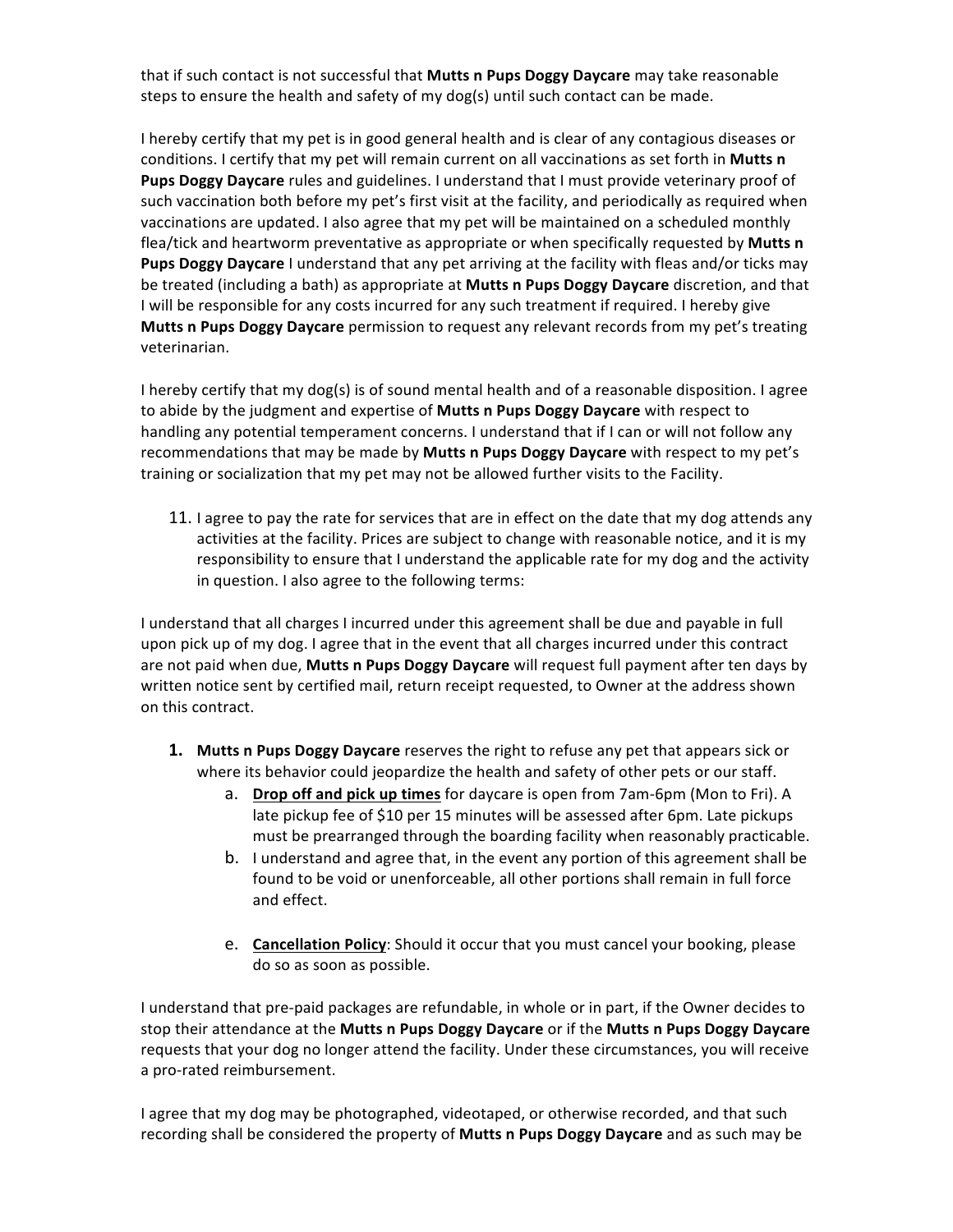that if such contact is not successful that Mutts n Pups Doggy Daycare may take reasonable steps to ensure the health and safety of my dog(s) until such contact can be made.

I hereby certify that my pet is in good general health and is clear of any contagious diseases or conditions. I certify that my pet will remain current on all vaccinations as set forth in Mutts n **Pups Doggy Daycare** rules and guidelines. I understand that I must provide veterinary proof of such vaccination both before my pet's first visit at the facility, and periodically as required when vaccinations are updated. I also agree that my pet will be maintained on a scheduled monthly flea/tick and heartworm preventative as appropriate or when specifically requested by **Mutts n Pups Doggy Daycare** I understand that any pet arriving at the facility with fleas and/or ticks may be treated (including a bath) as appropriate at **Mutts n Pups Doggy Daycare** discretion, and that I will be responsible for any costs incurred for any such treatment if required. I hereby give **Mutts n Pups Doggy Daycare** permission to request any relevant records from my pet's treating veterinarian.

I hereby certify that my dog(s) is of sound mental health and of a reasonable disposition. I agree to abide by the judgment and expertise of Mutts n Pups Doggy Daycare with respect to handling any potential temperament concerns. I understand that if I can or will not follow any recommendations that may be made by Mutts n Pups Doggy Daycare with respect to my pet's training or socialization that my pet may not be allowed further visits to the Facility.

11. I agree to pay the rate for services that are in effect on the date that my dog attends any activities at the facility. Prices are subject to change with reasonable notice, and it is my responsibility to ensure that I understand the applicable rate for my dog and the activity in question. I also agree to the following terms:

I understand that all charges I incurred under this agreement shall be due and payable in full upon pick up of my dog. I agree that in the event that all charges incurred under this contract are not paid when due, Mutts n Pups Doggy Daycare will request full payment after ten days by written notice sent by certified mail, return receipt requested, to Owner at the address shown on this contract. 

- **1.** Mutts **n** Pups Doggy Daycare reserves the right to refuse any pet that appears sick or where its behavior could jeopardize the health and safety of other pets or our staff.
	- a. **Drop off and pick up times** for daycare is open from 7am-6pm (Mon to Fri). A late pickup fee of \$10 per 15 minutes will be assessed after 6pm. Late pickups must be prearranged through the boarding facility when reasonably practicable.
	- b. I understand and agree that, in the event any portion of this agreement shall be found to be void or unenforceable, all other portions shall remain in full force and effect.
	- **e. Cancellation Policy**: Should it occur that you must cancel your booking, please do so as soon as possible.

I understand that pre-paid packages are refundable, in whole or in part, if the Owner decides to stop their attendance at the **Mutts n Pups Doggy Daycare** or if the **Mutts n Pups Doggy Daycare** requests that your dog no longer attend the facility. Under these circumstances, you will receive a pro-rated reimbursement.

I agree that my dog may be photographed, videotaped, or otherwise recorded, and that such recording shall be considered the property of **Mutts n Pups Doggy Daycare** and as such may be